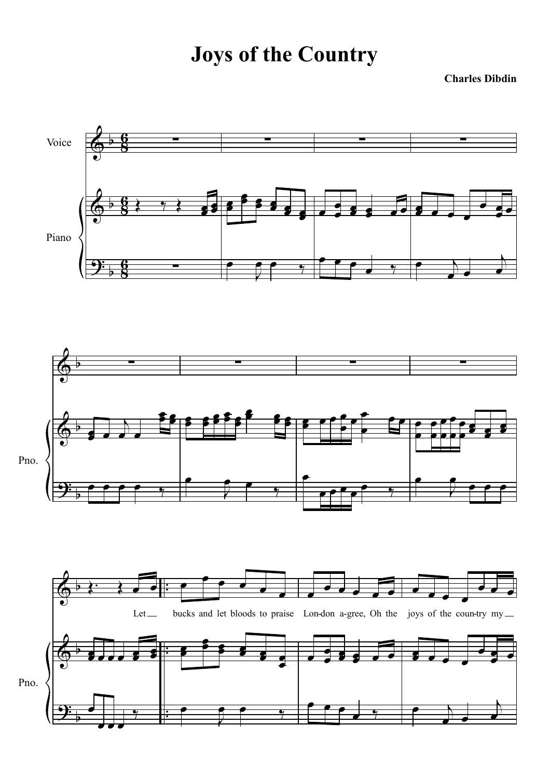## **Joys of the Country**

**Charles Dibdin**

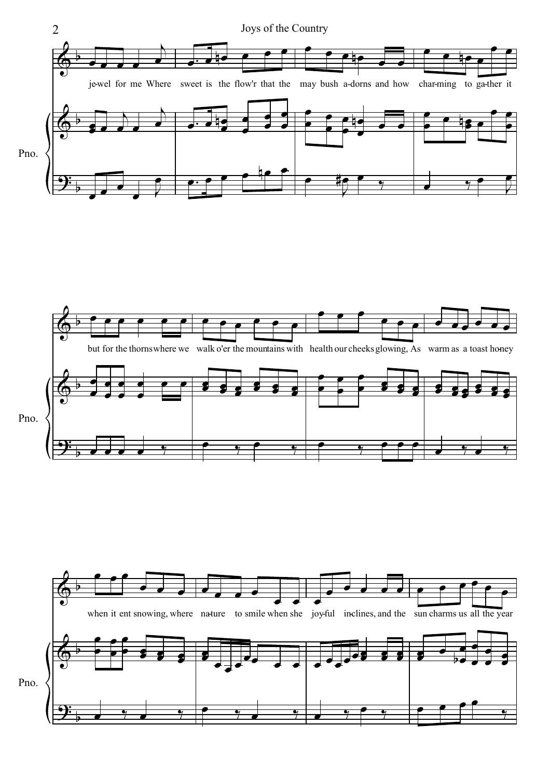



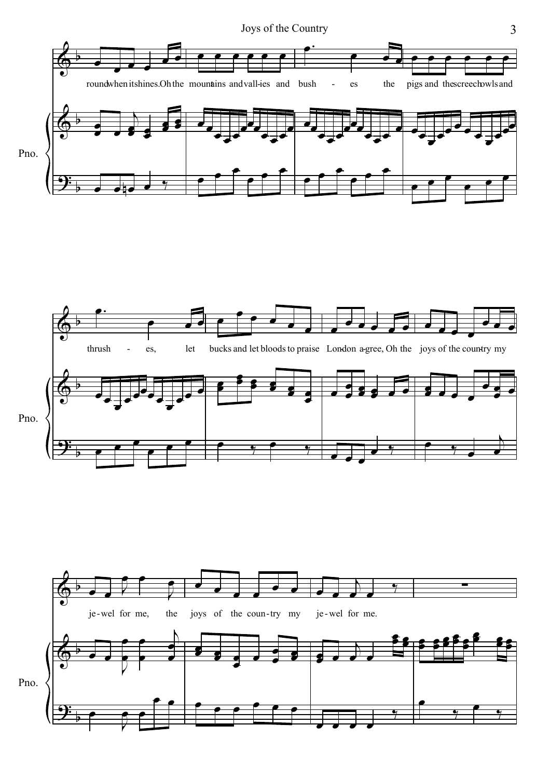





3